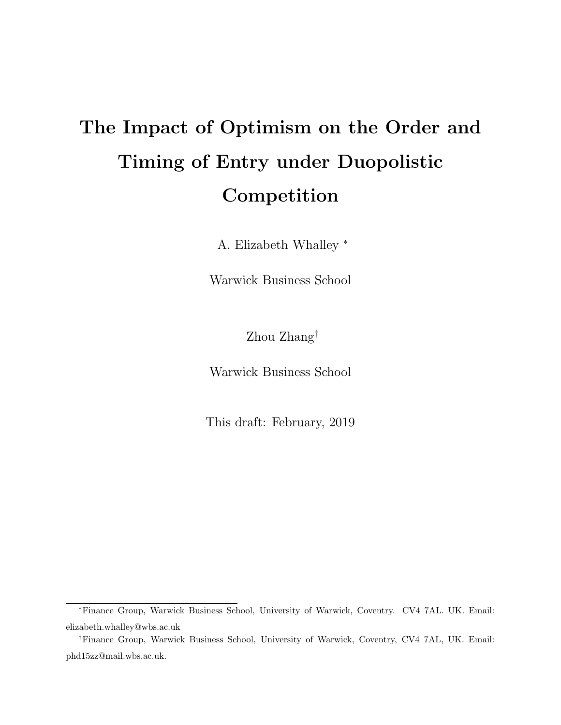# The Impact of Optimism on the Order and Timing of Entry under Duopolistic Competition

A. Elizabeth Whalley <sup>∗</sup>

Warwick Business School

Zhou Zhang†

Warwick Business School

This draft: February, 2019

<sup>∗</sup>Finance Group, Warwick Business School, University of Warwick, Coventry. CV4 7AL. UK. Email: elizabeth.whalley@wbs.ac.uk

<sup>†</sup>Finance Group, Warwick Business School, University of Warwick, Coventry, CV4 7AL, UK. Email: phd15zz@mail.wbs.ac.uk.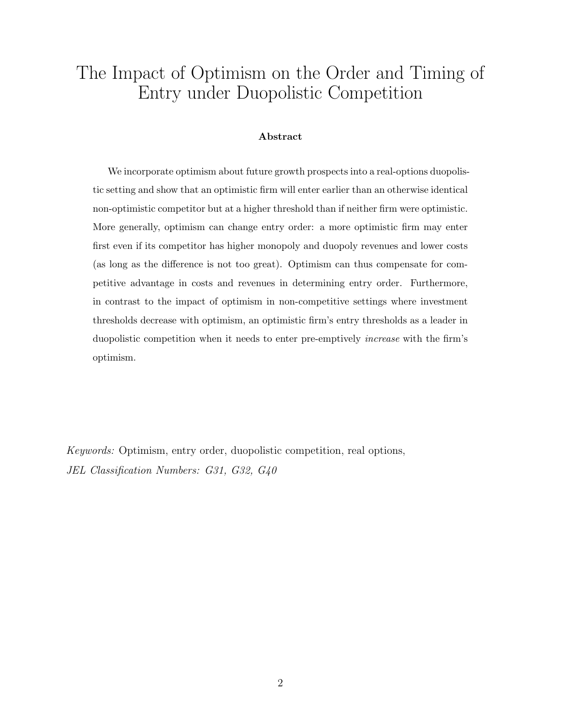# The Impact of Optimism on the Order and Timing of Entry under Duopolistic Competition

#### Abstract

We incorporate optimism about future growth prospects into a real-options duopolistic setting and show that an optimistic firm will enter earlier than an otherwise identical non-optimistic competitor but at a higher threshold than if neither firm were optimistic. More generally, optimism can change entry order: a more optimistic firm may enter first even if its competitor has higher monopoly and duopoly revenues and lower costs (as long as the difference is not too great). Optimism can thus compensate for competitive advantage in costs and revenues in determining entry order. Furthermore, in contrast to the impact of optimism in non-competitive settings where investment thresholds decrease with optimism, an optimistic firm's entry thresholds as a leader in duopolistic competition when it needs to enter pre-emptively increase with the firm's optimism.

Keywords: Optimism, entry order, duopolistic competition, real options, JEL Classification Numbers: G31, G32, G40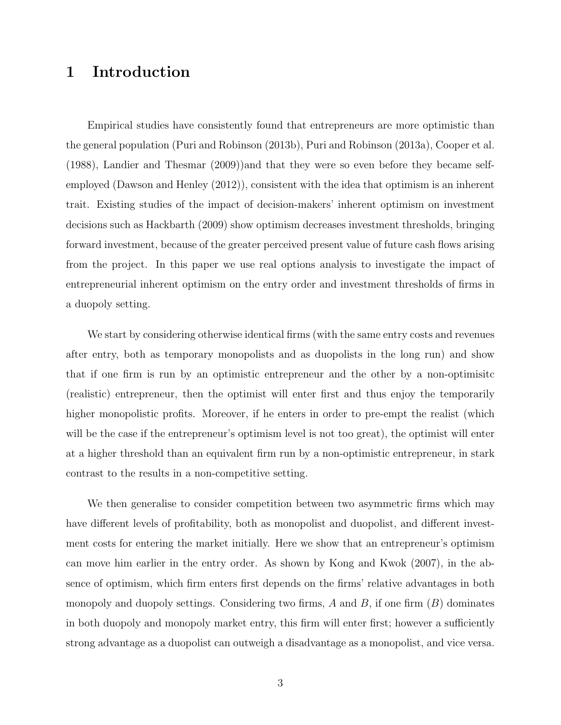## 1 Introduction

Empirical studies have consistently found that entrepreneurs are more optimistic than the general population (Puri and Robinson (2013b), Puri and Robinson (2013a), Cooper et al. (1988), Landier and Thesmar (2009))and that they were so even before they became selfemployed (Dawson and Henley (2012)), consistent with the idea that optimism is an inherent trait. Existing studies of the impact of decision-makers' inherent optimism on investment decisions such as Hackbarth (2009) show optimism decreases investment thresholds, bringing forward investment, because of the greater perceived present value of future cash flows arising from the project. In this paper we use real options analysis to investigate the impact of entrepreneurial inherent optimism on the entry order and investment thresholds of firms in a duopoly setting.

We start by considering otherwise identical firms (with the same entry costs and revenues after entry, both as temporary monopolists and as duopolists in the long run) and show that if one firm is run by an optimistic entrepreneur and the other by a non-optimisitc (realistic) entrepreneur, then the optimist will enter first and thus enjoy the temporarily higher monopolistic profits. Moreover, if he enters in order to pre-empt the realist (which will be the case if the entrepreneur's optimism level is not too great), the optimist will enter at a higher threshold than an equivalent firm run by a non-optimistic entrepreneur, in stark contrast to the results in a non-competitive setting.

We then generalise to consider competition between two asymmetric firms which may have different levels of profitability, both as monopolist and duopolist, and different investment costs for entering the market initially. Here we show that an entrepreneur's optimism can move him earlier in the entry order. As shown by Kong and Kwok (2007), in the absence of optimism, which firm enters first depends on the firms' relative advantages in both monopoly and duopoly settings. Considering two firms,  $A$  and  $B$ , if one firm  $(B)$  dominates in both duopoly and monopoly market entry, this firm will enter first; however a sufficiently strong advantage as a duopolist can outweigh a disadvantage as a monopolist, and vice versa.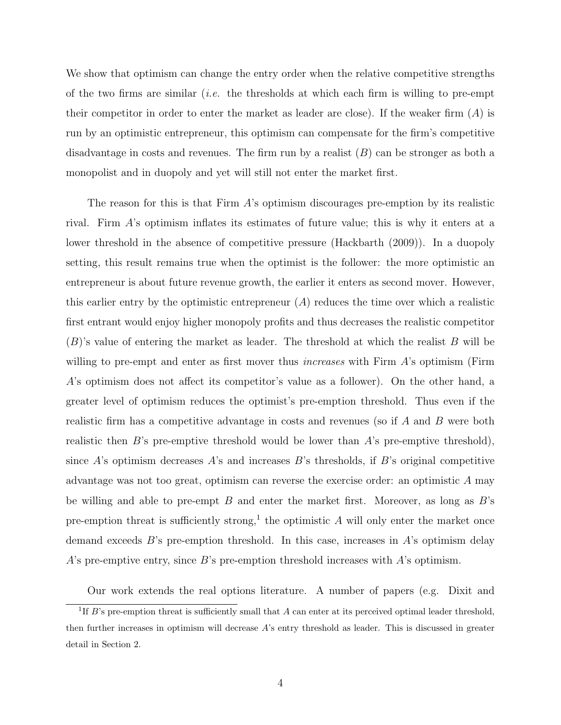We show that optimism can change the entry order when the relative competitive strengths of the two firms are similar (*i.e.* the thresholds at which each firm is willing to pre-empt their competitor in order to enter the market as leader are close). If the weaker firm  $(A)$  is run by an optimistic entrepreneur, this optimism can compensate for the firm's competitive disadvantage in costs and revenues. The firm run by a realist  $(B)$  can be stronger as both a monopolist and in duopoly and yet will still not enter the market first.

The reason for this is that Firm A's optimism discourages pre-emption by its realistic rival. Firm A's optimism inflates its estimates of future value; this is why it enters at a lower threshold in the absence of competitive pressure (Hackbarth (2009)). In a duopoly setting, this result remains true when the optimist is the follower: the more optimistic an entrepreneur is about future revenue growth, the earlier it enters as second mover. However, this earlier entry by the optimistic entrepreneur  $(A)$  reduces the time over which a realistic first entrant would enjoy higher monopoly profits and thus decreases the realistic competitor  $(B)$ 's value of entering the market as leader. The threshold at which the realist B will be willing to pre-empt and enter as first mover thus *increases* with  $\text{Firm } A$ 's optimism ( $\text{Firm } A$ ) A's optimism does not affect its competitor's value as a follower). On the other hand, a greater level of optimism reduces the optimist's pre-emption threshold. Thus even if the realistic firm has a competitive advantage in costs and revenues (so if A and B were both realistic then  $B$ 's pre-emptive threshold would be lower than  $A$ 's pre-emptive threshold), since  $A$ 's optimism decreases  $A$ 's and increases  $B$ 's thresholds, if  $B$ 's original competitive advantage was not too great, optimism can reverse the exercise order: an optimistic A may be willing and able to pre-empt  $B$  and enter the market first. Moreover, as long as  $B$ 's pre-emption threat is sufficiently strong,<sup>1</sup> the optimistic  $A$  will only enter the market once demand exceeds B's pre-emption threshold. In this case, increases in A's optimism delay A's pre-emptive entry, since B's pre-emption threshold increases with A's optimism.

Our work extends the real options literature. A number of papers (e.g. Dixit and

<sup>&</sup>lt;sup>1</sup>If B's pre-emption threat is sufficiently small that A can enter at its perceived optimal leader threshold, then further increases in optimism will decrease A's entry threshold as leader. This is discussed in greater detail in Section 2.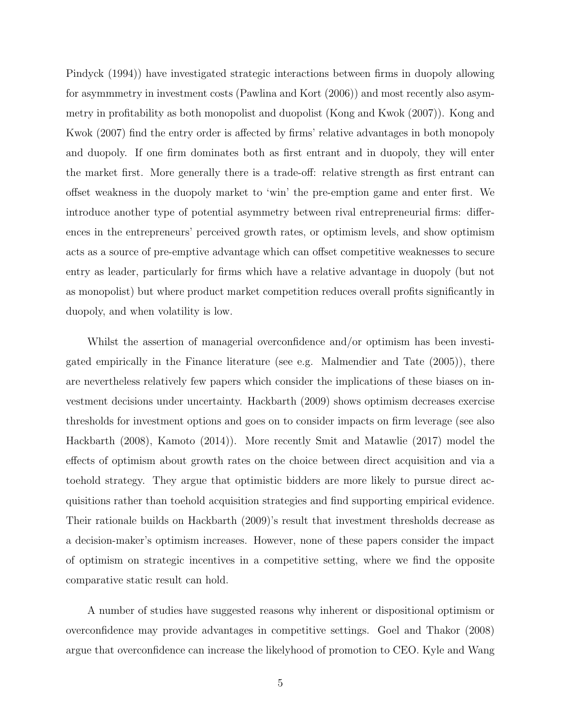Pindyck (1994)) have investigated strategic interactions between firms in duopoly allowing for asymmmetry in investment costs (Pawlina and Kort (2006)) and most recently also asymmetry in profitability as both monopolist and duopolist (Kong and Kwok (2007)). Kong and Kwok (2007) find the entry order is affected by firms' relative advantages in both monopoly and duopoly. If one firm dominates both as first entrant and in duopoly, they will enter the market first. More generally there is a trade-off: relative strength as first entrant can offset weakness in the duopoly market to 'win' the pre-emption game and enter first. We introduce another type of potential asymmetry between rival entrepreneurial firms: differences in the entrepreneurs' perceived growth rates, or optimism levels, and show optimism acts as a source of pre-emptive advantage which can offset competitive weaknesses to secure entry as leader, particularly for firms which have a relative advantage in duopoly (but not as monopolist) but where product market competition reduces overall profits significantly in duopoly, and when volatility is low.

Whilst the assertion of managerial overconfidence and/or optimism has been investigated empirically in the Finance literature (see e.g. Malmendier and Tate (2005)), there are nevertheless relatively few papers which consider the implications of these biases on investment decisions under uncertainty. Hackbarth (2009) shows optimism decreases exercise thresholds for investment options and goes on to consider impacts on firm leverage (see also Hackbarth (2008), Kamoto (2014)). More recently Smit and Matawlie (2017) model the effects of optimism about growth rates on the choice between direct acquisition and via a toehold strategy. They argue that optimistic bidders are more likely to pursue direct acquisitions rather than toehold acquisition strategies and find supporting empirical evidence. Their rationale builds on Hackbarth (2009)'s result that investment thresholds decrease as a decision-maker's optimism increases. However, none of these papers consider the impact of optimism on strategic incentives in a competitive setting, where we find the opposite comparative static result can hold.

A number of studies have suggested reasons why inherent or dispositional optimism or overconfidence may provide advantages in competitive settings. Goel and Thakor (2008) argue that overconfidence can increase the likelyhood of promotion to CEO. Kyle and Wang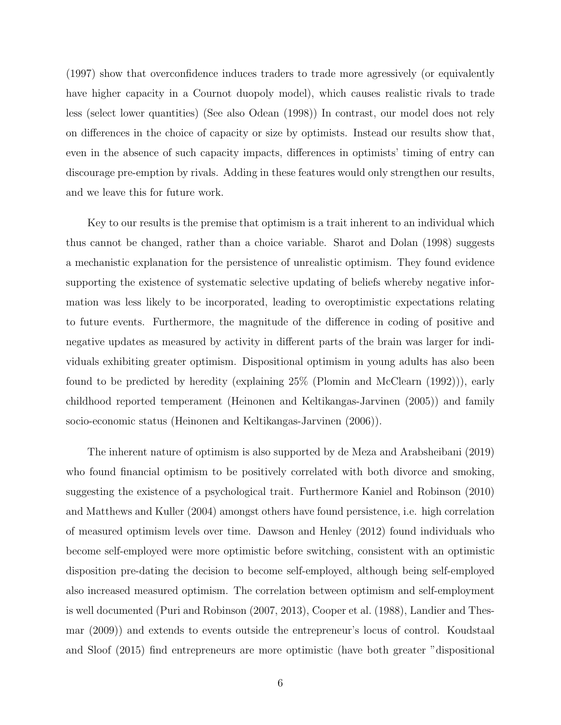(1997) show that overconfidence induces traders to trade more agressively (or equivalently have higher capacity in a Cournot duopoly model), which causes realistic rivals to trade less (select lower quantities) (See also Odean (1998)) In contrast, our model does not rely on differences in the choice of capacity or size by optimists. Instead our results show that, even in the absence of such capacity impacts, differences in optimists' timing of entry can discourage pre-emption by rivals. Adding in these features would only strengthen our results, and we leave this for future work.

Key to our results is the premise that optimism is a trait inherent to an individual which thus cannot be changed, rather than a choice variable. Sharot and Dolan (1998) suggests a mechanistic explanation for the persistence of unrealistic optimism. They found evidence supporting the existence of systematic selective updating of beliefs whereby negative information was less likely to be incorporated, leading to overoptimistic expectations relating to future events. Furthermore, the magnitude of the difference in coding of positive and negative updates as measured by activity in different parts of the brain was larger for individuals exhibiting greater optimism. Dispositional optimism in young adults has also been found to be predicted by heredity (explaining 25% (Plomin and McClearn (1992))), early childhood reported temperament (Heinonen and Keltikangas-Jarvinen (2005)) and family socio-economic status (Heinonen and Keltikangas-Jarvinen (2006)).

The inherent nature of optimism is also supported by de Meza and Arabsheibani (2019) who found financial optimism to be positively correlated with both divorce and smoking, suggesting the existence of a psychological trait. Furthermore Kaniel and Robinson (2010) and Matthews and Kuller (2004) amongst others have found persistence, i.e. high correlation of measured optimism levels over time. Dawson and Henley (2012) found individuals who become self-employed were more optimistic before switching, consistent with an optimistic disposition pre-dating the decision to become self-employed, although being self-employed also increased measured optimism. The correlation between optimism and self-employment is well documented (Puri and Robinson (2007, 2013), Cooper et al. (1988), Landier and Thesmar (2009)) and extends to events outside the entrepreneur's locus of control. Koudstaal and Sloof (2015) find entrepreneurs are more optimistic (have both greater "dispositional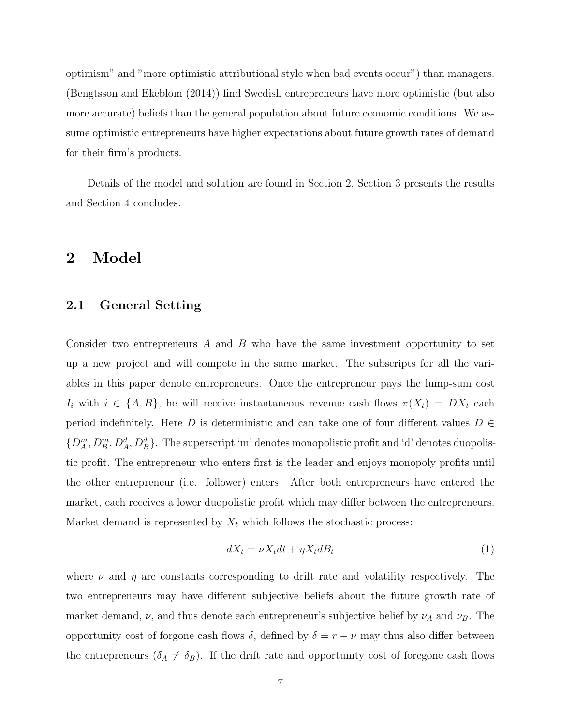optimism" and "more optimistic attributional style when bad events occur") than managers. (Bengtsson and Ekeblom (2014)) find Swedish entrepreneurs have more optimistic (but also more accurate) beliefs than the general population about future economic conditions. We assume optimistic entrepreneurs have higher expectations about future growth rates of demand for their firm's products.

Details of the model and solution are found in Section 2, Section 3 presents the results and Section 4 concludes.

### 2 Model

### 2.1 General Setting

Consider two entrepreneurs A and B who have the same investment opportunity to set up a new project and will compete in the same market. The subscripts for all the variables in this paper denote entrepreneurs. Once the entrepreneur pays the lump-sum cost  $I_i$  with  $i \in \{A, B\}$ , he will receive instantaneous revenue cash flows  $\pi(X_t) = DX_t$  each period indefinitely. Here D is deterministic and can take one of four different values  $D \in$  $\{D_A^m, D_B^m, D_A^d, D_B^d\}$ . The superscript 'm' denotes monopolistic profit and 'd' denotes duopolistic profit. The entrepreneur who enters first is the leader and enjoys monopoly profits until the other entrepreneur (i.e. follower) enters. After both entrepreneurs have entered the market, each receives a lower duopolistic profit which may differ between the entrepreneurs. Market demand is represented by  $X_t$  which follows the stochastic process:

$$
dX_t = \nu X_t dt + \eta X_t dB_t \tag{1}
$$

where  $\nu$  and  $\eta$  are constants corresponding to drift rate and volatility respectively. The two entrepreneurs may have different subjective beliefs about the future growth rate of market demand,  $\nu$ , and thus denote each entrepreneur's subjective belief by  $\nu_A$  and  $\nu_B$ . The opportunity cost of forgone cash flows  $\delta$ , defined by  $\delta = r - \nu$  may thus also differ between the entrepreneurs  $(\delta_A \neq \delta_B)$ . If the drift rate and opportunity cost of foregone cash flows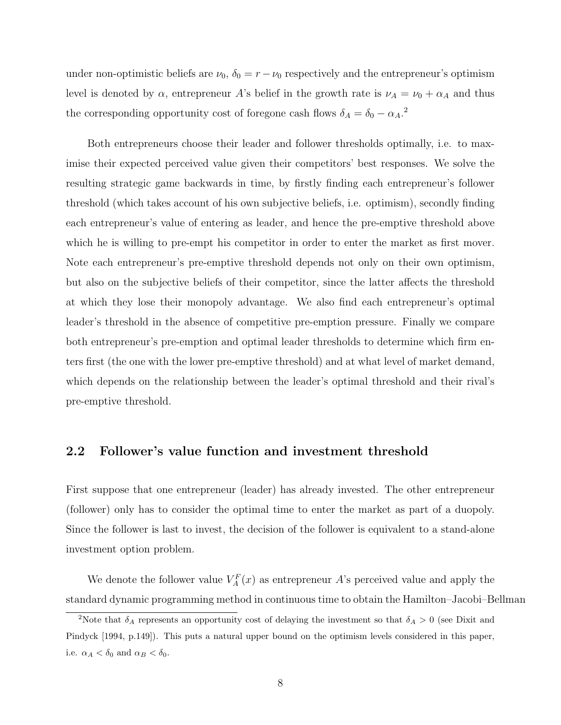under non-optimistic beliefs are  $\nu_0$ ,  $\delta_0 = r - \nu_0$  respectively and the entrepreneur's optimism level is denoted by  $\alpha$ , entrepreneur A's belief in the growth rate is  $\nu_A = \nu_0 + \alpha_A$  and thus the corresponding opportunity cost of foregone cash flows  $\delta_A = \delta_0 - \alpha_A$ <sup>2</sup>

Both entrepreneurs choose their leader and follower thresholds optimally, i.e. to maximise their expected perceived value given their competitors' best responses. We solve the resulting strategic game backwards in time, by firstly finding each entrepreneur's follower threshold (which takes account of his own subjective beliefs, i.e. optimism), secondly finding each entrepreneur's value of entering as leader, and hence the pre-emptive threshold above which he is willing to pre-empt his competitor in order to enter the market as first mover. Note each entrepreneur's pre-emptive threshold depends not only on their own optimism, but also on the subjective beliefs of their competitor, since the latter affects the threshold at which they lose their monopoly advantage. We also find each entrepreneur's optimal leader's threshold in the absence of competitive pre-emption pressure. Finally we compare both entrepreneur's pre-emption and optimal leader thresholds to determine which firm enters first (the one with the lower pre-emptive threshold) and at what level of market demand, which depends on the relationship between the leader's optimal threshold and their rival's pre-emptive threshold.

### 2.2 Follower's value function and investment threshold

First suppose that one entrepreneur (leader) has already invested. The other entrepreneur (follower) only has to consider the optimal time to enter the market as part of a duopoly. Since the follower is last to invest, the decision of the follower is equivalent to a stand-alone investment option problem.

We denote the follower value  $V_A^F(x)$  as entrepreneur A's perceived value and apply the standard dynamic programming method in continuous time to obtain the Hamilton–Jacobi–Bellman

<sup>&</sup>lt;sup>2</sup>Note that  $\delta_A$  represents an opportunity cost of delaying the investment so that  $\delta_A > 0$  (see Dixit and Pindyck [1994, p.149]). This puts a natural upper bound on the optimism levels considered in this paper, i.e.  $\alpha_A < \delta_0$  and  $\alpha_B < \delta_0$ .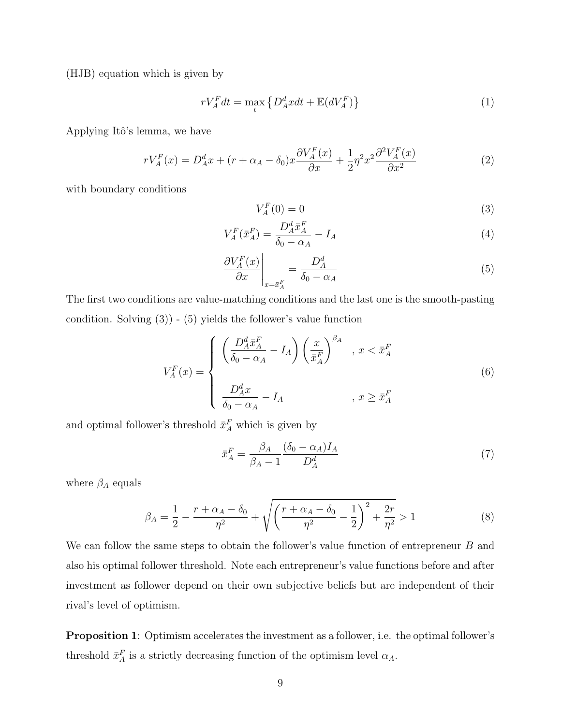(HJB) equation which is given by

$$
rV_A^F dt = \max_t \left\{ D_A^d x dt + \mathbb{E}(dV_A^F) \right\} \tag{1}
$$

Applying Itô's lemma, we have

$$
rV_A^F(x) = D_A^d x + (r + \alpha_A - \delta_0)x \frac{\partial V_A^F(x)}{\partial x} + \frac{1}{2} \eta^2 x^2 \frac{\partial^2 V_A^F(x)}{\partial x^2}
$$
(2)

with boundary conditions

$$
V_A^F(0) = 0 \tag{3}
$$

$$
V_A^F(\bar{x}_A^F) = \frac{D_A^d \bar{x}_A^F}{\delta_0 - \alpha_A} - I_A
$$
\n<sup>(4)</sup>

$$
\left. \frac{\partial V_A^F(x)}{\partial x} \right|_{x = \bar{x}_A^F} = \frac{D_A^d}{\delta_0 - \alpha_A} \tag{5}
$$

The first two conditions are value-matching conditions and the last one is the smooth-pasting condition. Solving  $(3)$  -  $(5)$  yields the follower's value function

$$
V_A^F(x) = \begin{cases} \left(\frac{D_A^d \bar{x}_A^F}{\delta_0 - \alpha_A} - I_A\right) \left(\frac{x}{\bar{x}_A^F}\right)^{\beta_A} & , x < \bar{x}_A^F\\ \frac{D_A^d x}{\delta_0 - \alpha_A} - I_A & , x \ge \bar{x}_A^F \end{cases}
$$
(6)

and optimal follower's threshold  $\bar{x}_A^F$  which is given by

$$
\bar{x}_A^F = \frac{\beta_A}{\beta_A - 1} \frac{(\delta_0 - \alpha_A) I_A}{D_A^d} \tag{7}
$$

where  $\beta_A$  equals

$$
\beta_A = \frac{1}{2} - \frac{r + \alpha_A - \delta_0}{\eta^2} + \sqrt{\left(\frac{r + \alpha_A - \delta_0}{\eta^2} - \frac{1}{2}\right)^2 + \frac{2r}{\eta^2}} > 1
$$
\n(8)

We can follow the same steps to obtain the follower's value function of entrepreneur B and also his optimal follower threshold. Note each entrepreneur's value functions before and after investment as follower depend on their own subjective beliefs but are independent of their rival's level of optimism.

Proposition 1: Optimism accelerates the investment as a follower, i.e. the optimal follower's threshold  $\bar{x}_A^F$  is a strictly decreasing function of the optimism level  $\alpha_A$ .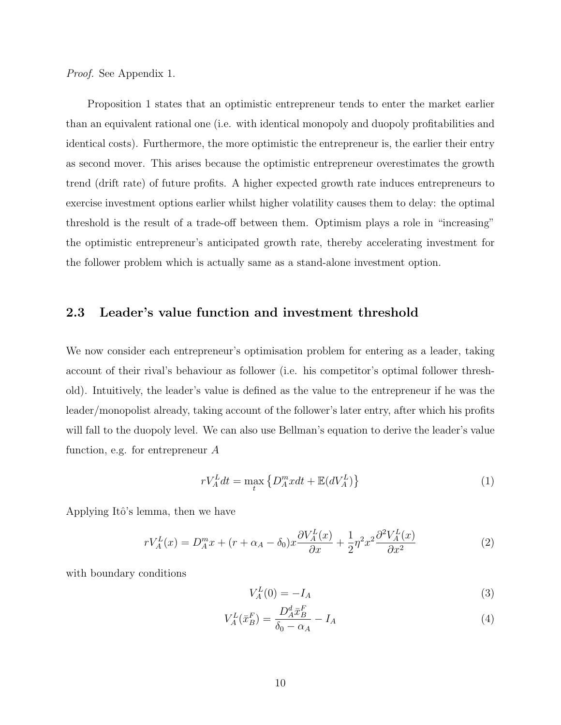Proof. See Appendix 1.

Proposition 1 states that an optimistic entrepreneur tends to enter the market earlier than an equivalent rational one (i.e. with identical monopoly and duopoly profitabilities and identical costs). Furthermore, the more optimistic the entrepreneur is, the earlier their entry as second mover. This arises because the optimistic entrepreneur overestimates the growth trend (drift rate) of future profits. A higher expected growth rate induces entrepreneurs to exercise investment options earlier whilst higher volatility causes them to delay: the optimal threshold is the result of a trade-off between them. Optimism plays a role in "increasing" the optimistic entrepreneur's anticipated growth rate, thereby accelerating investment for the follower problem which is actually same as a stand-alone investment option.

### 2.3 Leader's value function and investment threshold

We now consider each entrepreneur's optimisation problem for entering as a leader, taking account of their rival's behaviour as follower (i.e. his competitor's optimal follower threshold). Intuitively, the leader's value is defined as the value to the entrepreneur if he was the leader/monopolist already, taking account of the follower's later entry, after which his profits will fall to the duopoly level. We can also use Bellman's equation to derive the leader's value function, e.g. for entrepreneur A

$$
rV_A^L dt = \max_t \left\{ D_A^m x dt + \mathbb{E}(dV_A^L) \right\} \tag{1}
$$

Applying Itô's lemma, then we have

$$
rV_A^L(x) = D_A^m x + (r + \alpha_A - \delta_0)x \frac{\partial V_A^L(x)}{\partial x} + \frac{1}{2} \eta^2 x^2 \frac{\partial^2 V_A^L(x)}{\partial x^2}
$$
(2)

with boundary conditions

$$
V_A^L(0) = -I_A \tag{3}
$$

$$
V_A^L(\bar{x}_B^F) = \frac{D_A^d \bar{x}_B^F}{\delta_0 - \alpha_A} - I_A
$$
\n<sup>(4)</sup>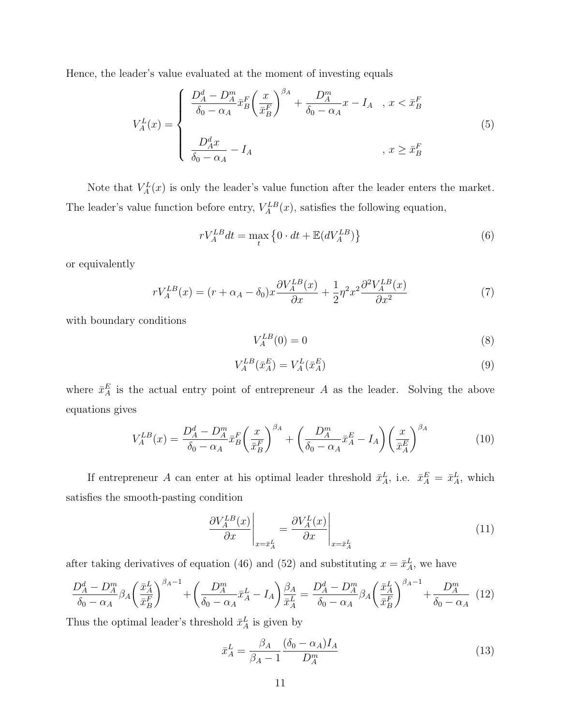Hence, the leader's value evaluated at the moment of investing equals

$$
V_A^L(x) = \begin{cases} \frac{D_A^d - D_A^m}{\delta_0 - \alpha_A} \bar{x}_B^F \left(\frac{x}{\bar{x}_B^F}\right)^{\beta_A} + \frac{D_A^m}{\delta_0 - \alpha_A} x - I_A, & x < \bar{x}_B^F \\ \frac{D_A^d x}{\delta_0 - \alpha_A} - I_A, & x \ge \bar{x}_B^F \end{cases}
$$
(5)

Note that  $V_A^L(x)$  is only the leader's value function after the leader enters the market. The leader's value function before entry,  $V_A^{LB}(x)$ , satisfies the following equation,

$$
rV_A^{LB}dt = \max_t \left\{ 0 \cdot dt + \mathbb{E}(dV_A^{LB}) \right\} \tag{6}
$$

or equivalently

$$
rV_A^{LB}(x) = (r + \alpha_A - \delta_0)x \frac{\partial V_A^{LB}(x)}{\partial x} + \frac{1}{2} \eta^2 x^2 \frac{\partial^2 V_A^{LB}(x)}{\partial x^2}
$$
(7)

with boundary conditions

$$
V_A^{LB}(0) = 0\tag{8}
$$

$$
V_A^{LB}(\bar{x}_A^E) = V_A^L(\bar{x}_A^E) \tag{9}
$$

where  $\bar{x}_{A}^{E}$  is the actual entry point of entrepreneur A as the leader. Solving the above equations gives

$$
V_A^{LB}(x) = \frac{D_A^d - D_A^m}{\delta_0 - \alpha_A} \bar{x}_B^F \left(\frac{x}{\bar{x}_B^F}\right)^{\beta_A} + \left(\frac{D_A^m}{\delta_0 - \alpha_A} \bar{x}_A^E - I_A\right) \left(\frac{x}{\bar{x}_A^F}\right)^{\beta_A} \tag{10}
$$

If entrepreneur A can enter at his optimal leader threshold  $\bar{x}_A^L$ , i.e.  $\bar{x}_A^E = \bar{x}_A^L$ , which satisfies the smooth-pasting condition

$$
\left. \frac{\partial V_A^{LB}(x)}{\partial x} \right|_{x = \bar{x}_A^L} = \left. \frac{\partial V_A^L(x)}{\partial x} \right|_{x = \bar{x}_A^L}
$$
\n(11)

after taking derivatives of equation (46) and (52) and substituting  $x = \bar{x}_A^L$ , we have

$$
\frac{D_A^d - D_A^m}{\delta_0 - \alpha_A} \beta_A \left(\frac{\bar{x}_A^L}{\bar{x}_B^F}\right)^{\beta_A - 1} + \left(\frac{D_A^m}{\delta_0 - \alpha_A} \bar{x}_A^L - I_A\right) \frac{\beta_A}{\bar{x}_A^L} = \frac{D_A^d - D_A^m}{\delta_0 - \alpha_A} \beta_A \left(\frac{\bar{x}_A^L}{\bar{x}_B^F}\right)^{\beta_A - 1} + \frac{D_A^m}{\delta_0 - \alpha_A} \tag{12}
$$

Thus the optimal leader's threshold  $\bar{x}^L_A$  is given by

$$
\bar{x}_A^L = \frac{\beta_A}{\beta_A - 1} \frac{(\delta_0 - \alpha_A) I_A}{D_A^m} \tag{13}
$$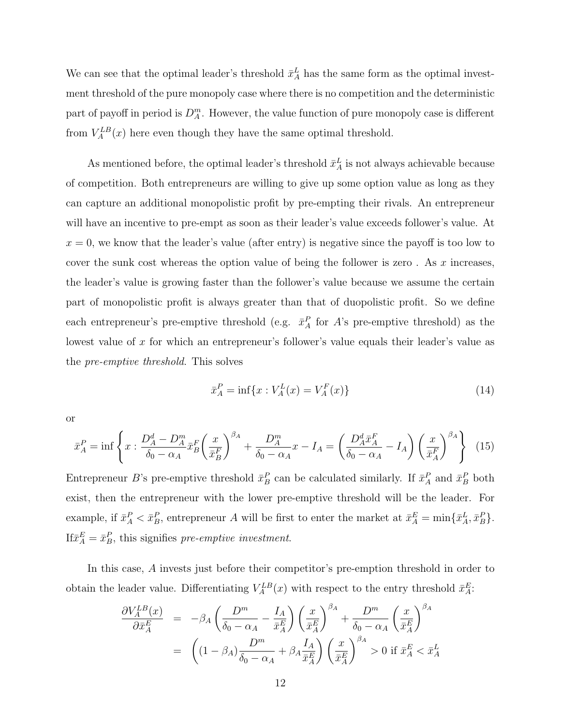We can see that the optimal leader's threshold  $\bar{x}_A^L$  has the same form as the optimal investment threshold of the pure monopoly case where there is no competition and the deterministic part of payoff in period is  $D_A^m$ . However, the value function of pure monopoly case is different from  $V_A^{LB}(x)$  here even though they have the same optimal threshold.

As mentioned before, the optimal leader's threshold  $\bar{x}_A^L$  is not always achievable because of competition. Both entrepreneurs are willing to give up some option value as long as they can capture an additional monopolistic profit by pre-empting their rivals. An entrepreneur will have an incentive to pre-empt as soon as their leader's value exceeds follower's value. At  $x = 0$ , we know that the leader's value (after entry) is negative since the payoff is too low to cover the sunk cost whereas the option value of being the follower is zero. As  $x$  increases, the leader's value is growing faster than the follower's value because we assume the certain part of monopolistic profit is always greater than that of duopolistic profit. So we define each entrepreneur's pre-emptive threshold (e.g.  $\bar{x}_A^P$  for A's pre-emptive threshold) as the lowest value of x for which an entrepreneur's follower's value equals their leader's value as the pre-emptive threshold. This solves

$$
\bar{x}_A^P = \inf\{x : V_A^L(x) = V_A^F(x)\}\tag{14}
$$

or

$$
\bar{x}_A^P = \inf \left\{ x : \frac{D_A^d - D_A^m}{\delta_0 - \alpha_A} \bar{x}_B^F \left( \frac{x}{\bar{x}_B^F} \right)^{\beta_A} + \frac{D_A^m}{\delta_0 - \alpha_A} x - I_A = \left( \frac{D_A^d \bar{x}_A^F}{\delta_0 - \alpha_A} - I_A \right) \left( \frac{x}{\bar{x}_A^F} \right)^{\beta_A} \right\} (15)
$$

Entrepreneur B's pre-emptive threshold  $\bar{x}_B^P$  can be calculated similarly. If  $\bar{x}_A^P$  and  $\bar{x}_B^P$  both exist, then the entrepreneur with the lower pre-emptive threshold will be the leader. For example, if  $\bar{x}_A^P < \bar{x}_B^P$ , entrepreneur A will be first to enter the market at  $\bar{x}_A^E = \min\{\bar{x}_A^L, \bar{x}_B^P\}$ . If  $\bar{x}_A^E = \bar{x}_B^P$ , this signifies pre-emptive investment.

In this case, A invests just before their competitor's pre-emption threshold in order to obtain the leader value. Differentiating  $V_A^{LB}(x)$  with respect to the entry threshold  $\bar{x}_A^E$ :

$$
\frac{\partial V_A^{LB}(x)}{\partial \bar{x}_A^E} = -\beta_A \left( \frac{D^m}{\delta_0 - \alpha_A} - \frac{I_A}{\bar{x}_A^E} \right) \left( \frac{x}{\bar{x}_A^E} \right)^{\beta_A} + \frac{D^m}{\delta_0 - \alpha_A} \left( \frac{x}{\bar{x}_A^E} \right)^{\beta_A} \n= \left( (1 - \beta_A) \frac{D^m}{\delta_0 - \alpha_A} + \beta_A \frac{I_A}{\bar{x}_A^E} \right) \left( \frac{x}{\bar{x}_A^E} \right)^{\beta_A} > 0 \text{ if } \bar{x}_A^E < \bar{x}_A^L
$$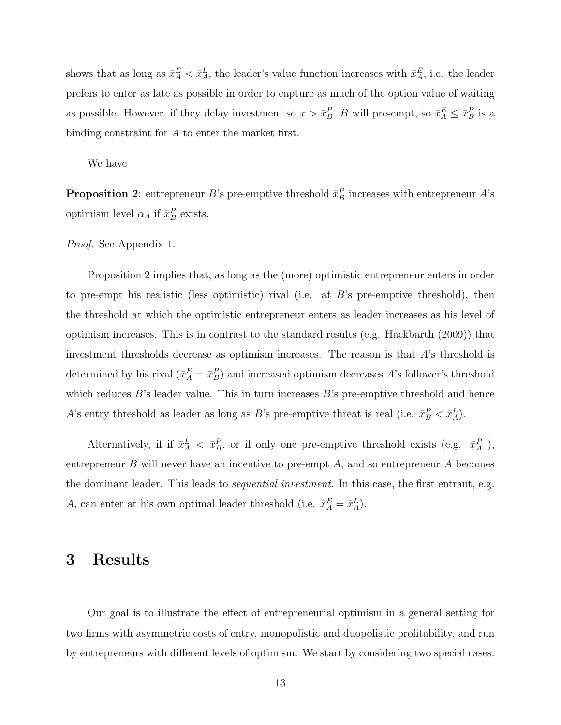shows that as long as  $\bar{x}_A^E < \bar{x}_A^L$ , the leader's value function increases with  $\bar{x}_A^E$ , i.e. the leader prefers to enter as late as possible in order to capture as much of the option value of waiting as possible. However, if they delay investment so  $x > \bar{x}_B^P$ , B will pre-empt, so  $\bar{x}_A^E \leq \bar{x}_B^P$  is a binding constraint for A to enter the market first.

We have

**Proposition 2**: entrepreneur B's pre-emptive threshold  $\bar{x}_B^P$  increases with entrepreneur A's optimism level  $\alpha_A$  if  $\bar{x}_B^P$  exists.

Proof. See Appendix 1.

Proposition 2 implies that, as long as the (more) optimistic entrepreneur enters in order to pre-empt his realistic (less optimistic) rival (i.e. at  $B$ 's pre-emptive threshold), then the threshold at which the optimistic entrepreneur enters as leader increases as his level of optimism increases. This is in contrast to the standard results (e.g. Hackbarth (2009)) that investment thresholds decrease as optimism increases. The reason is that A's threshold is determined by his rival  $(\bar{x}_A^E = \bar{x}_B^P)$  and increased optimism decreases A's follower's threshold which reduces  $B$ 's leader value. This in turn increases  $B$ 's pre-emptive threshold and hence A's entry threshold as leader as long as B's pre-emptive threat is real (i.e.  $\bar{x}_B^P < \bar{x}_A^L$ ).

Alternatively, if if  $\bar{x}_A^L < \bar{x}_B^P$ , or if only one pre-emptive threshold exists (e.g.  $\bar{x}_A^P$ ), entrepreneur B will never have an incentive to pre-empt  $A$ , and so entrepreneur  $A$  becomes the dominant leader. This leads to *sequential investment*. In this case, the first entrant, e.g. A, can enter at his own optimal leader threshold (i.e.  $\bar{x}_A^E = \bar{x}_A^L$ ).

### 3 Results

Our goal is to illustrate the effect of entrepreneurial optimism in a general setting for two firms with asymmetric costs of entry, monopolistic and duopolistic profitability, and run by entrepreneurs with different levels of optimism. We start by considering two special cases: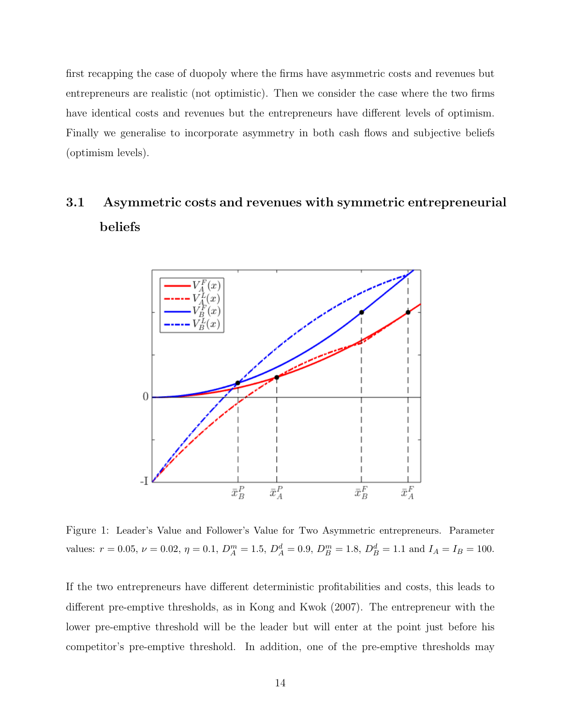first recapping the case of duopoly where the firms have asymmetric costs and revenues but entrepreneurs are realistic (not optimistic). Then we consider the case where the two firms have identical costs and revenues but the entrepreneurs have different levels of optimism. Finally we generalise to incorporate asymmetry in both cash flows and subjective beliefs (optimism levels).

# 3.1 Asymmetric costs and revenues with symmetric entrepreneurial beliefs



Figure 1: Leader's Value and Follower's Value for Two Asymmetric entrepreneurs. Parameter values:  $r = 0.05$ ,  $\nu = 0.02$ ,  $\eta = 0.1$ ,  $D_A^m = 1.5$ ,  $D_A^d = 0.9$ ,  $D_B^m = 1.8$ ,  $D_B^d = 1.1$  and  $I_A = I_B = 100$ .

If the two entrepreneurs have different deterministic profitabilities and costs, this leads to different pre-emptive thresholds, as in Kong and Kwok (2007). The entrepreneur with the lower pre-emptive threshold will be the leader but will enter at the point just before his competitor's pre-emptive threshold. In addition, one of the pre-emptive thresholds may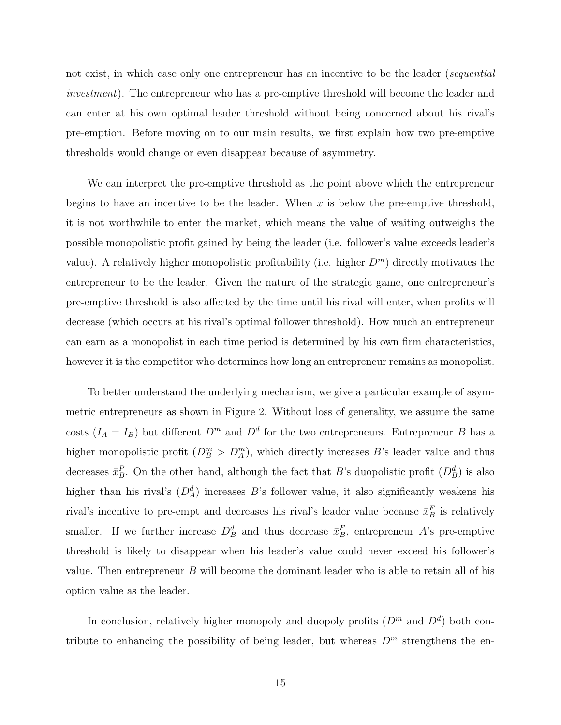not exist, in which case only one entrepreneur has an incentive to be the leader (sequential investment). The entrepreneur who has a pre-emptive threshold will become the leader and can enter at his own optimal leader threshold without being concerned about his rival's pre-emption. Before moving on to our main results, we first explain how two pre-emptive thresholds would change or even disappear because of asymmetry.

We can interpret the pre-emptive threshold as the point above which the entrepreneur begins to have an incentive to be the leader. When  $x$  is below the pre-emptive threshold, it is not worthwhile to enter the market, which means the value of waiting outweighs the possible monopolistic profit gained by being the leader (i.e. follower's value exceeds leader's value). A relatively higher monopolistic profitability (i.e. higher  $D<sup>m</sup>$ ) directly motivates the entrepreneur to be the leader. Given the nature of the strategic game, one entrepreneur's pre-emptive threshold is also affected by the time until his rival will enter, when profits will decrease (which occurs at his rival's optimal follower threshold). How much an entrepreneur can earn as a monopolist in each time period is determined by his own firm characteristics, however it is the competitor who determines how long an entrepreneur remains as monopolist.

To better understand the underlying mechanism, we give a particular example of asymmetric entrepreneurs as shown in Figure 2. Without loss of generality, we assume the same costs  $(I_A = I_B)$  but different  $D^m$  and  $D^d$  for the two entrepreneurs. Entrepreneur B has a higher monopolistic profit  $(D_B^m > D_A^m)$ , which directly increases B's leader value and thus decreases  $\bar{x}_B^P$ . On the other hand, although the fact that B's duopolistic profit  $(D_B^d)$  is also higher than his rival's  $(D_A^d)$  increases B's follower value, it also significantly weakens his rival's incentive to pre-empt and decreases his rival's leader value because  $\bar{x}_B^F$  is relatively smaller. If we further increase  $D^d_B$  and thus decrease  $\bar{x}^F_B$ , entrepreneur A's pre-emptive threshold is likely to disappear when his leader's value could never exceed his follower's value. Then entrepreneur  $B$  will become the dominant leader who is able to retain all of his option value as the leader.

In conclusion, relatively higher monopoly and duopoly profits  $(D<sup>m</sup>$  and  $D<sup>d</sup>)$  both contribute to enhancing the possibility of being leader, but whereas  $D<sup>m</sup>$  strengthens the en-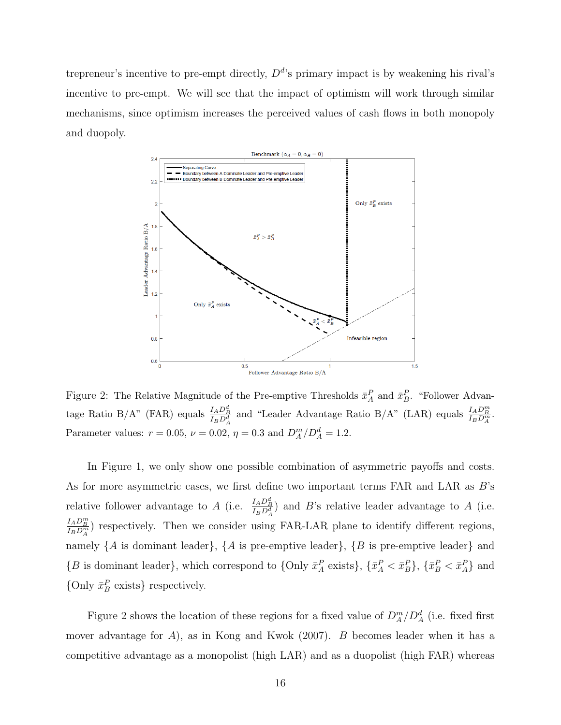trepreneur's incentive to pre-empt directly,  $D^{d}$ 's primary impact is by weakening his rival's incentive to pre-empt. We will see that the impact of optimism will work through similar mechanisms, since optimism increases the perceived values of cash flows in both monopoly and duopoly.



Figure 2: The Relative Magnitude of the Pre-emptive Thresholds  $\bar{x}_A^P$  and  $\bar{x}_B^P$ . "Follower Advantage Ratio B/A" (FAR) equals  $\frac{I_A D_B^d}{I_B D_A^d}$  and "Leader Advantage Ratio B/A" (LAR) equals  $\frac{I_A D_B^m}{I_B D_A^m}$ . Parameter values:  $r = 0.05$ ,  $\nu = 0.02$ ,  $\eta = 0.3$  and  $D_A^m/D_A^d = 1.2$ .

In Figure 1, we only show one possible combination of asymmetric payoffs and costs. As for more asymmetric cases, we first define two important terms FAR and LAR as B's relative follower advantage to A (i.e.  $\frac{I_A D_B^d}{I_B D_A^d}$ ) and B's relative leader advantage to A (i.e.  $\frac{I_A D_B^m}{I_B D_A^m}$ ) respectively. Then we consider using FAR-LAR plane to identify different regions, namely  $\{A \text{ is dominant leader}\}, \{A \text{ is pre-empty leader}\}, \{B \text{ is pre-empty leader}\}$  and  $\{B \text{ is dominant leader}\}\,$ , which correspond to  $\{\text{Only } \bar{x}_A^P \text{ exists}\}\,$ ,  $\{\bar{x}_A^P < \bar{x}_B^P\}$ ,  $\{\bar{x}_B^P < \bar{x}_A^P\}$  and {Only  $\bar{x}^P_B$  exists} respectively.

Figure 2 shows the location of these regions for a fixed value of  $D_A^m/D_A^d$  (i.e. fixed first mover advantage for  $A$ ), as in Kong and Kwok (2007). B becomes leader when it has a competitive advantage as a monopolist (high LAR) and as a duopolist (high FAR) whereas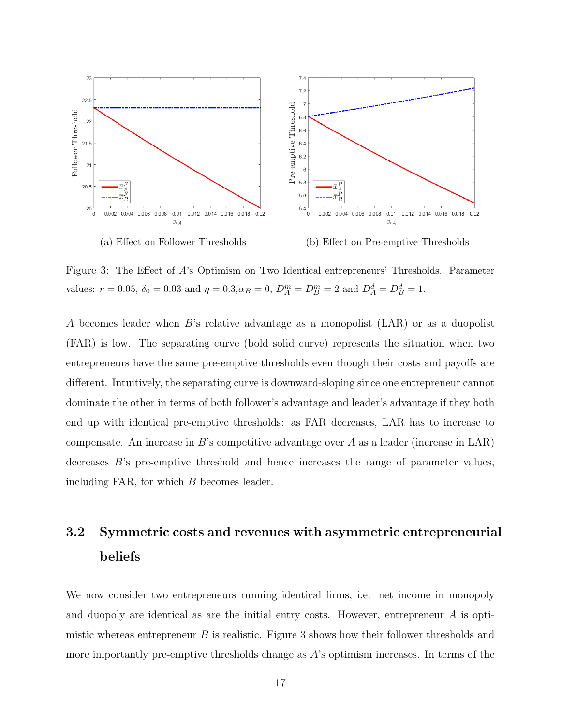

Figure 3: The Effect of A's Optimism on Two Identical entrepreneurs' Thresholds. Parameter values:  $r = 0.05$ ,  $\delta_0 = 0.03$  and  $\eta = 0.3$ ,  $\alpha_B = 0$ ,  $D_A^m = D_B^m = 2$  and  $D_A^d = D_B^d = 1$ .

A becomes leader when B's relative advantage as a monopolist (LAR) or as a duopolist (FAR) is low. The separating curve (bold solid curve) represents the situation when two entrepreneurs have the same pre-emptive thresholds even though their costs and payoffs are different. Intuitively, the separating curve is downward-sloping since one entrepreneur cannot dominate the other in terms of both follower's advantage and leader's advantage if they both end up with identical pre-emptive thresholds: as FAR decreases, LAR has to increase to compensate. An increase in  $B$ 's competitive advantage over A as a leader (increase in LAR) decreases B's pre-emptive threshold and hence increases the range of parameter values, including FAR, for which  $B$  becomes leader.

# 3.2 Symmetric costs and revenues with asymmetric entrepreneurial beliefs

We now consider two entrepreneurs running identical firms, i.e. net income in monopoly and duopoly are identical as are the initial entry costs. However, entrepreneur A is optimistic whereas entrepreneur  $B$  is realistic. Figure 3 shows how their follower thresholds and more importantly pre-emptive thresholds change as A's optimism increases. In terms of the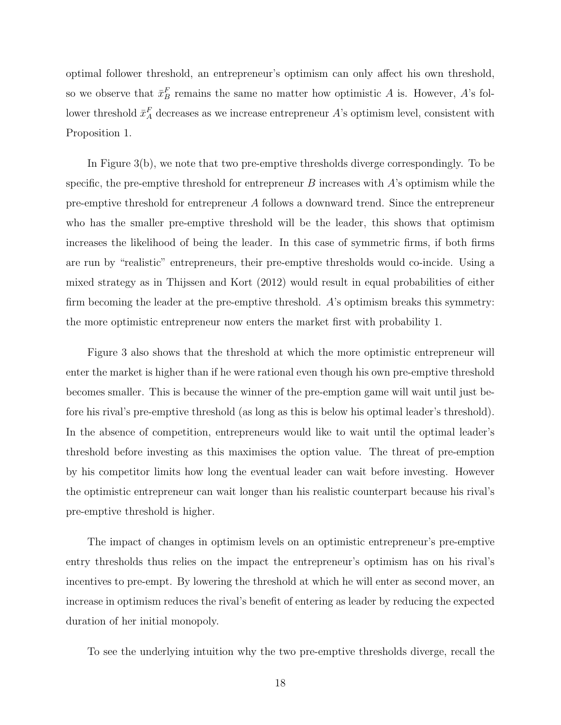optimal follower threshold, an entrepreneur's optimism can only affect his own threshold, so we observe that  $\bar{x}_B^F$  remains the same no matter how optimistic A is. However, A's follower threshold  $\bar{x}_A^F$  decreases as we increase entrepreneur A's optimism level, consistent with Proposition 1.

In Figure 3(b), we note that two pre-emptive thresholds diverge correspondingly. To be specific, the pre-emptive threshold for entrepreneur  $B$  increases with  $A$ 's optimism while the pre-emptive threshold for entrepreneur A follows a downward trend. Since the entrepreneur who has the smaller pre-emptive threshold will be the leader, this shows that optimism increases the likelihood of being the leader. In this case of symmetric firms, if both firms are run by "realistic" entrepreneurs, their pre-emptive thresholds would co-incide. Using a mixed strategy as in Thijssen and Kort (2012) would result in equal probabilities of either firm becoming the leader at the pre-emptive threshold. A's optimism breaks this symmetry: the more optimistic entrepreneur now enters the market first with probability 1.

Figure 3 also shows that the threshold at which the more optimistic entrepreneur will enter the market is higher than if he were rational even though his own pre-emptive threshold becomes smaller. This is because the winner of the pre-emption game will wait until just before his rival's pre-emptive threshold (as long as this is below his optimal leader's threshold). In the absence of competition, entrepreneurs would like to wait until the optimal leader's threshold before investing as this maximises the option value. The threat of pre-emption by his competitor limits how long the eventual leader can wait before investing. However the optimistic entrepreneur can wait longer than his realistic counterpart because his rival's pre-emptive threshold is higher.

The impact of changes in optimism levels on an optimistic entrepreneur's pre-emptive entry thresholds thus relies on the impact the entrepreneur's optimism has on his rival's incentives to pre-empt. By lowering the threshold at which he will enter as second mover, an increase in optimism reduces the rival's benefit of entering as leader by reducing the expected duration of her initial monopoly.

To see the underlying intuition why the two pre-emptive thresholds diverge, recall the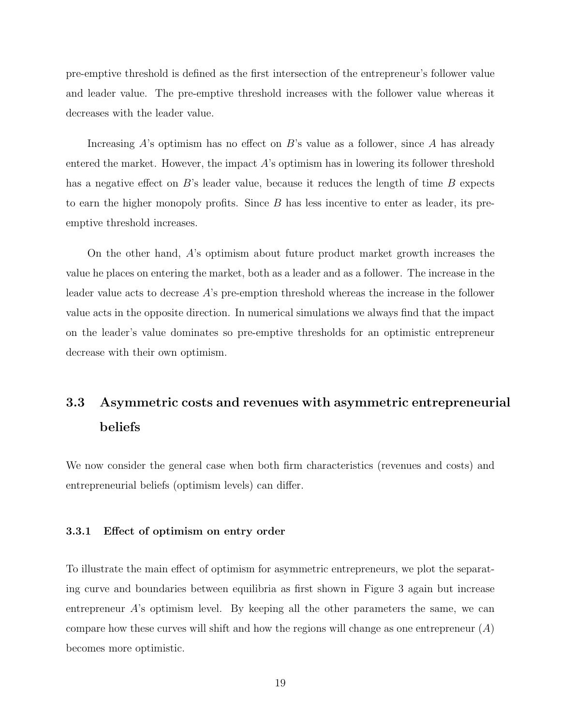pre-emptive threshold is defined as the first intersection of the entrepreneur's follower value and leader value. The pre-emptive threshold increases with the follower value whereas it decreases with the leader value.

Increasing  $A$ 's optimism has no effect on  $B$ 's value as a follower, since  $A$  has already entered the market. However, the impact  $A$ 's optimism has in lowering its follower threshold has a negative effect on  $B$ 's leader value, because it reduces the length of time  $B$  expects to earn the higher monopoly profits. Since  $B$  has less incentive to enter as leader, its preemptive threshold increases.

On the other hand, A's optimism about future product market growth increases the value he places on entering the market, both as a leader and as a follower. The increase in the leader value acts to decrease A's pre-emption threshold whereas the increase in the follower value acts in the opposite direction. In numerical simulations we always find that the impact on the leader's value dominates so pre-emptive thresholds for an optimistic entrepreneur decrease with their own optimism.

# 3.3 Asymmetric costs and revenues with asymmetric entrepreneurial beliefs

We now consider the general case when both firm characteristics (revenues and costs) and entrepreneurial beliefs (optimism levels) can differ.

#### 3.3.1 Effect of optimism on entry order

To illustrate the main effect of optimism for asymmetric entrepreneurs, we plot the separating curve and boundaries between equilibria as first shown in Figure 3 again but increase entrepreneur  $A$ 's optimism level. By keeping all the other parameters the same, we can compare how these curves will shift and how the regions will change as one entrepreneur  $(A)$ becomes more optimistic.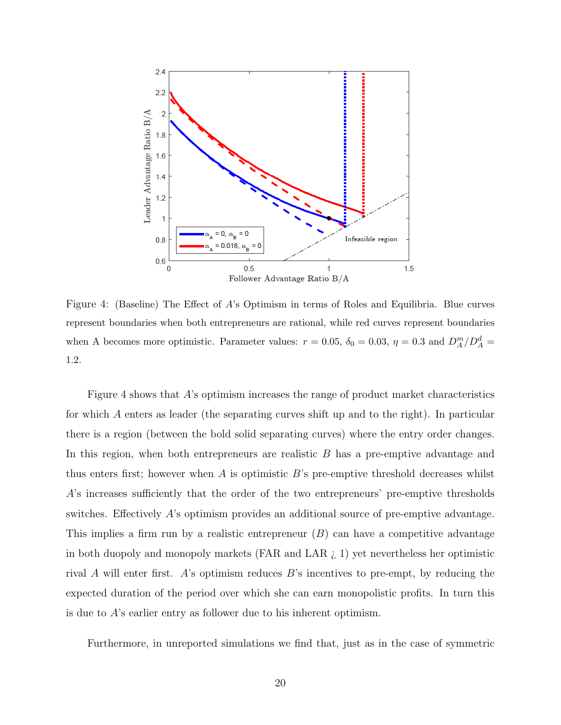

Figure 4: (Baseline) The Effect of A's Optimism in terms of Roles and Equilibria. Blue curves represent boundaries when both entrepreneurs are rational, while red curves represent boundaries when A becomes more optimistic. Parameter values:  $r = 0.05$ ,  $\delta_0 = 0.03$ ,  $\eta = 0.3$  and  $D_A^m/D_A^d =$ 1.2.

Figure 4 shows that A's optimism increases the range of product market characteristics for which A enters as leader (the separating curves shift up and to the right). In particular there is a region (between the bold solid separating curves) where the entry order changes. In this region, when both entrepreneurs are realistic B has a pre-emptive advantage and thus enters first; however when  $A$  is optimistic  $B$ 's pre-emptive threshold decreases whilst A's increases sufficiently that the order of the two entrepreneurs' pre-emptive thresholds switches. Effectively A's optimism provides an additional source of pre-emptive advantage. This implies a firm run by a realistic entrepreneur  $(B)$  can have a competitive advantage in both duopoly and monopoly markets (FAR and LAR  $\zeta$  1) yet nevertheless her optimistic rival A will enter first. A's optimism reduces B's incentives to pre-empt, by reducing the expected duration of the period over which she can earn monopolistic profits. In turn this is due to A's earlier entry as follower due to his inherent optimism.

Furthermore, in unreported simulations we find that, just as in the case of symmetric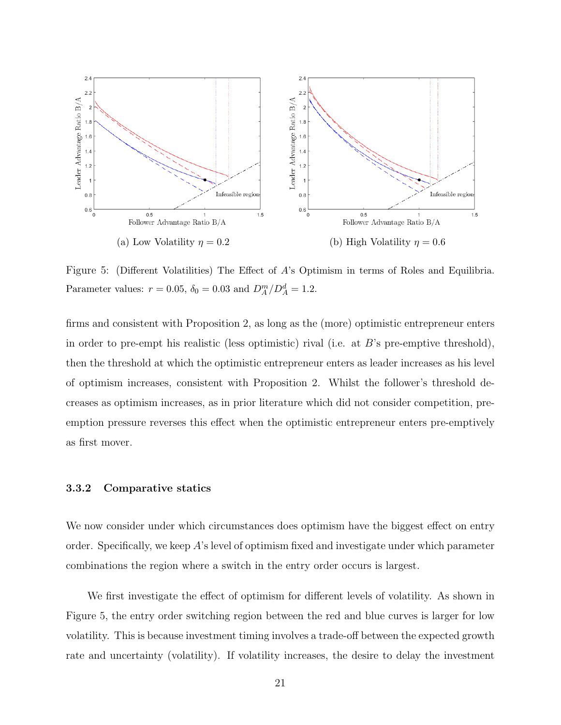

Figure 5: (Different Volatilities) The Effect of A's Optimism in terms of Roles and Equilibria. Parameter values:  $r = 0.05$ ,  $\delta_0 = 0.03$  and  $D_A^m/D_A^d = 1.2$ .

firms and consistent with Proposition 2, as long as the (more) optimistic entrepreneur enters in order to pre-empt his realistic (less optimistic) rival (i.e. at B's pre-emptive threshold), then the threshold at which the optimistic entrepreneur enters as leader increases as his level of optimism increases, consistent with Proposition 2. Whilst the follower's threshold decreases as optimism increases, as in prior literature which did not consider competition, preemption pressure reverses this effect when the optimistic entrepreneur enters pre-emptively as first mover.

### 3.3.2 Comparative statics

We now consider under which circumstances does optimism have the biggest effect on entry order. Specifically, we keep  $A$ 's level of optimism fixed and investigate under which parameter combinations the region where a switch in the entry order occurs is largest.

We first investigate the effect of optimism for different levels of volatility. As shown in Figure 5, the entry order switching region between the red and blue curves is larger for low volatility. This is because investment timing involves a trade-off between the expected growth rate and uncertainty (volatility). If volatility increases, the desire to delay the investment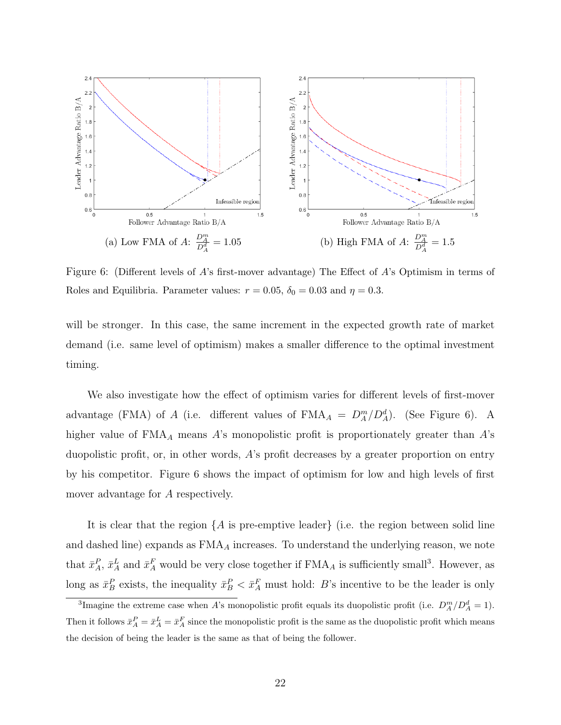

Figure 6: (Different levels of A's first-mover advantage) The Effect of A's Optimism in terms of Roles and Equilibria. Parameter values:  $r = 0.05$ ,  $\delta_0 = 0.03$  and  $\eta = 0.3$ .

will be stronger. In this case, the same increment in the expected growth rate of market demand (i.e. same level of optimism) makes a smaller difference to the optimal investment timing.

We also investigate how the effect of optimism varies for different levels of first-mover advantage (FMA) of A (i.e. different values of  $\text{FMA}_A = D_A^m/D_A^d$ ). (See Figure 6). A higher value of  $FMA_A$  means A's monopolistic profit is proportionately greater than A's duopolistic profit, or, in other words, A's profit decreases by a greater proportion on entry by his competitor. Figure 6 shows the impact of optimism for low and high levels of first mover advantage for A respectively.

It is clear that the region  $\{A \text{ is pre-empty leader}\}\$  (i.e. the region between solid line and dashed line) expands as  $FMA_A$  increases. To understand the underlying reason, we note that  $\bar{x}_A^P$ ,  $\bar{x}_A^L$  and  $\bar{x}_A^F$  would be very close together if  $\text{FMA}_A$  is sufficiently small<sup>3</sup>. However, as long as  $\bar{x}_B^P$  exists, the inequality  $\bar{x}_B^P < \bar{x}_A^F$  must hold: B's incentive to be the leader is only

<sup>&</sup>lt;sup>3</sup>Imagine the extreme case when A's monopolistic profit equals its duopolistic profit (i.e.  $D_A^m/D_A^d = 1$ ). Then it follows  $\bar{x}_A^P = \bar{x}_A^L = \bar{x}_A^F$  since the monopolistic profit is the same as the duopolistic profit which means the decision of being the leader is the same as that of being the follower.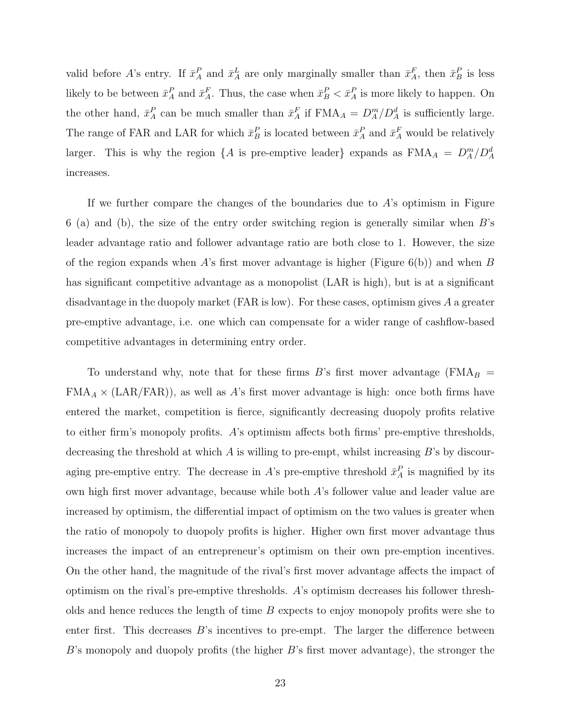valid before A's entry. If  $\bar{x}_A^P$  and  $\bar{x}_A^L$  are only marginally smaller than  $\bar{x}_A^F$ , then  $\bar{x}_B^P$  is less likely to be between  $\bar{x}_A^P$  and  $\bar{x}_A^F$ . Thus, the case when  $\bar{x}_B^P < \bar{x}_A^P$  is more likely to happen. On the other hand,  $\bar{x}_A^P$  can be much smaller than  $\bar{x}_A^F$  if  $\text{FMA}_A = D_A^m/D_A^d$  is sufficiently large. The range of FAR and LAR for which  $\bar{x}_B^P$  is located between  $\bar{x}_A^P$  and  $\bar{x}_A^F$  would be relatively larger. This is why the region  $\{A \text{ is pre-empty leader}\}$  expands as  $\text{FMA}_A = D_A^m/D_A^d$ increases.

If we further compare the changes of the boundaries due to  $A$ 's optimism in Figure 6 (a) and (b), the size of the entry order switching region is generally similar when  $B$ 's leader advantage ratio and follower advantage ratio are both close to 1. However, the size of the region expands when A's first mover advantage is higher (Figure  $6(b)$ ) and when B has significant competitive advantage as a monopolist (LAR is high), but is at a significant disadvantage in the duopoly market (FAR is low). For these cases, optimism gives A a greater pre-emptive advantage, i.e. one which can compensate for a wider range of cashflow-based competitive advantages in determining entry order.

To understand why, note that for these firms  $B$ 's first mover advantage (FMA $_B$  =  $FMA_A \times (LAR/FAR)$ , as well as A's first mover advantage is high: once both firms have entered the market, competition is fierce, significantly decreasing duopoly profits relative to either firm's monopoly profits. A's optimism affects both firms' pre-emptive thresholds, decreasing the threshold at which  $A$  is willing to pre-empt, whilst increasing  $B$ 's by discouraging pre-emptive entry. The decrease in A's pre-emptive threshold  $\bar{x}_A^P$  is magnified by its own high first mover advantage, because while both A's follower value and leader value are increased by optimism, the differential impact of optimism on the two values is greater when the ratio of monopoly to duopoly profits is higher. Higher own first mover advantage thus increases the impact of an entrepreneur's optimism on their own pre-emption incentives. On the other hand, the magnitude of the rival's first mover advantage affects the impact of optimism on the rival's pre-emptive thresholds. A's optimism decreases his follower thresholds and hence reduces the length of time  $B$  expects to enjoy monopoly profits were she to enter first. This decreases  $B$ 's incentives to pre-empt. The larger the difference between  $B$ 's monopoly and duopoly profits (the higher  $B$ 's first mover advantage), the stronger the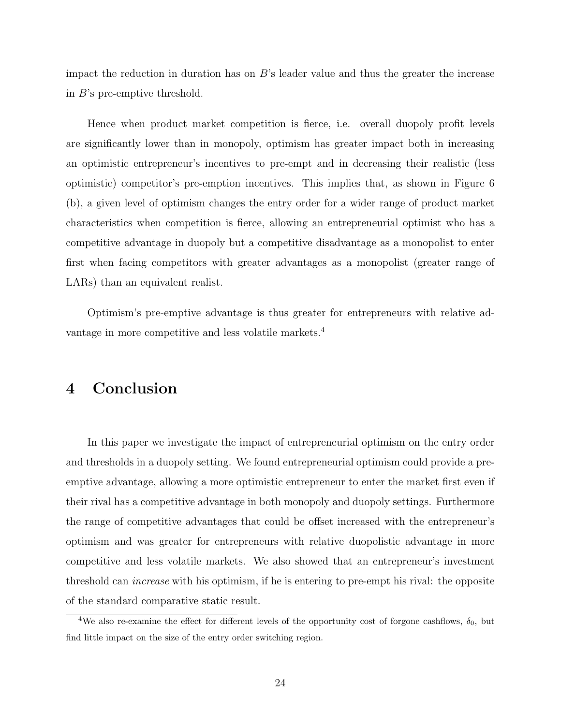impact the reduction in duration has on  $B$ 's leader value and thus the greater the increase in B's pre-emptive threshold.

Hence when product market competition is fierce, i.e. overall duopoly profit levels are significantly lower than in monopoly, optimism has greater impact both in increasing an optimistic entrepreneur's incentives to pre-empt and in decreasing their realistic (less optimistic) competitor's pre-emption incentives. This implies that, as shown in Figure 6 (b), a given level of optimism changes the entry order for a wider range of product market characteristics when competition is fierce, allowing an entrepreneurial optimist who has a competitive advantage in duopoly but a competitive disadvantage as a monopolist to enter first when facing competitors with greater advantages as a monopolist (greater range of LARs) than an equivalent realist.

Optimism's pre-emptive advantage is thus greater for entrepreneurs with relative advantage in more competitive and less volatile markets.<sup>4</sup>

### 4 Conclusion

In this paper we investigate the impact of entrepreneurial optimism on the entry order and thresholds in a duopoly setting. We found entrepreneurial optimism could provide a preemptive advantage, allowing a more optimistic entrepreneur to enter the market first even if their rival has a competitive advantage in both monopoly and duopoly settings. Furthermore the range of competitive advantages that could be offset increased with the entrepreneur's optimism and was greater for entrepreneurs with relative duopolistic advantage in more competitive and less volatile markets. We also showed that an entrepreneur's investment threshold can increase with his optimism, if he is entering to pre-empt his rival: the opposite of the standard comparative static result.

<sup>&</sup>lt;sup>4</sup>We also re-examine the effect for different levels of the opportunity cost of forgone cashflows,  $\delta_0$ , but find little impact on the size of the entry order switching region.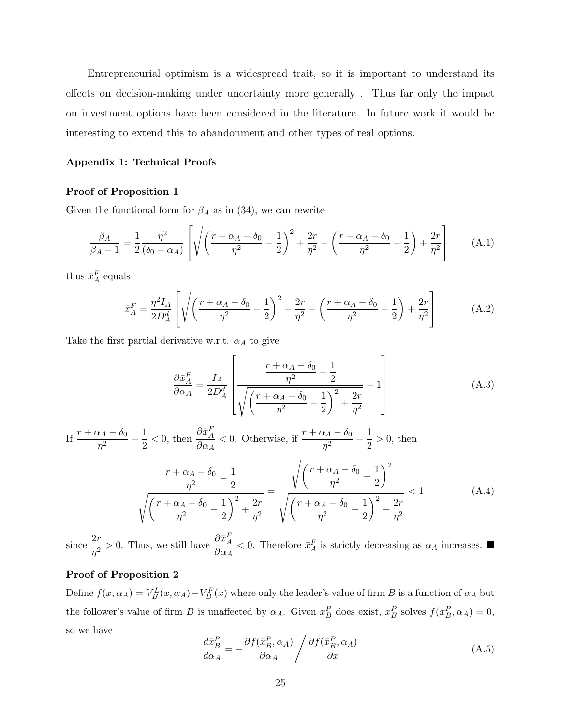Entrepreneurial optimism is a widespread trait, so it is important to understand its effects on decision-making under uncertainty more generally . Thus far only the impact on investment options have been considered in the literature. In future work it would be interesting to extend this to abandonment and other types of real options.

#### Appendix 1: Technical Proofs

#### Proof of Proposition 1

Given the functional form for  $\beta_A$  as in (34), we can rewrite

$$
\frac{\beta_A}{\beta_A - 1} = \frac{1}{2} \frac{\eta^2}{(\delta_0 - \alpha_A)} \left[ \sqrt{\left(\frac{r + \alpha_A - \delta_0}{\eta^2} - \frac{1}{2}\right)^2 + \frac{2r}{\eta^2}} - \left(\frac{r + \alpha_A - \delta_0}{\eta^2} - \frac{1}{2}\right) + \frac{2r}{\eta^2} \right] \tag{A.1}
$$

thus  $\bar{x}^F_A$  equals

$$
\bar{x}_A^F = \frac{\eta^2 I_A}{2D_A^d} \left[ \sqrt{\left(\frac{r + \alpha_A - \delta_0}{\eta^2} - \frac{1}{2}\right)^2 + \frac{2r}{\eta^2}} - \left(\frac{r + \alpha_A - \delta_0}{\eta^2} - \frac{1}{2}\right) + \frac{2r}{\eta^2} \right]
$$
(A.2)

Take the first partial derivative w.r.t.  $\alpha_A$  to give

$$
\frac{\partial \bar{x}_A^F}{\partial \alpha_A} = \frac{I_A}{2D_A^d} \left[ \frac{\frac{r + \alpha_A - \delta_0}{\eta^2} - \frac{1}{2}}{\sqrt{\left(\frac{r + \alpha_A - \delta_0}{\eta^2} - \frac{1}{2}\right)^2 + \frac{2r}{\eta^2}}} - 1 \right]
$$
(A.3)

If 
$$
\frac{r + \alpha_A - \delta_0}{\eta^2} - \frac{1}{2} < 0
$$
, then  $\frac{\partial \bar{x}_A^F}{\partial \alpha_A} < 0$ . Otherwise, if  $\frac{r + \alpha_A - \delta_0}{\eta^2} - \frac{1}{2} > 0$ , then  

$$
\frac{r + \alpha_A - \delta_0}{\eta^2} - \frac{1}{2}
$$

$$
\sqrt{\left(\frac{r + \alpha_A - \delta_0}{\eta^2} - \frac{1}{2}\right)^2 + \frac{2r}{\eta^2}} = \sqrt{\left(\frac{r + \alpha_A - \delta_0}{\eta^2} - \frac{1}{2}\right)^2 + \frac{2r}{\eta^2}} < 1
$$
(A.4)

since  $\frac{2r}{2}$  $\frac{2r}{\eta^2} > 0$ . Thus, we still have  $\frac{\partial \bar{x}_A^F}{\partial \alpha_A}$  $\frac{\partial u_A}{\partial \alpha_A}$  < 0. Therefore  $\bar{x}_A^F$  is strictly decreasing as  $\alpha_A$  increases.

### Proof of Proposition 2

Define  $f(x, \alpha_A) = V_B^L(x, \alpha_A) - V_B^F(x)$  where only the leader's value of firm B is a function of  $\alpha_A$  but the follower's value of firm B is unaffected by  $\alpha_A$ . Given  $\bar{x}_B^P$  does exist,  $\bar{x}_B^P$  solves  $f(\bar{x}_B^P, \alpha_A) = 0$ , so we have

$$
\frac{d\bar{x}_B^P}{d\alpha_A} = -\frac{\partial f(\bar{x}_B^P, \alpha_A)}{\partial \alpha_A} / \frac{\partial f(\bar{x}_B^P, \alpha_A)}{\partial x}
$$
\n(A.5)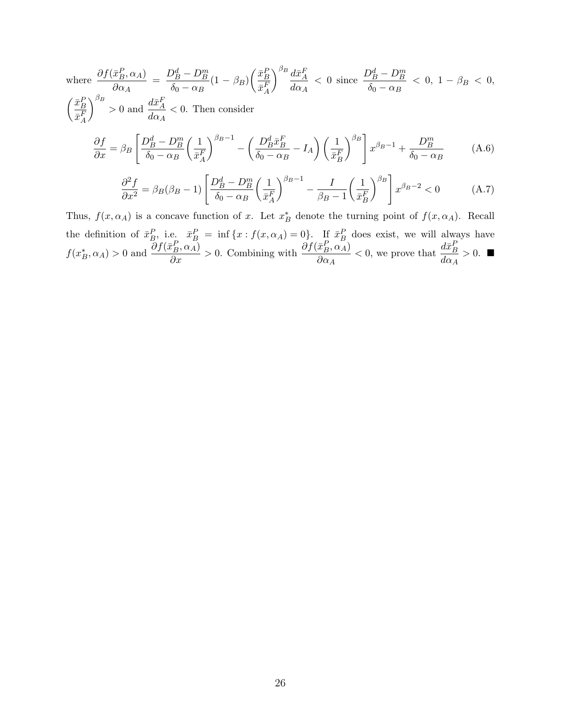where 
$$
\frac{\partial f(\bar{x}_B^P, \alpha_A)}{\partial \alpha_A} = \frac{D_B^d - D_B^m}{\delta_0 - \alpha_B} (1 - \beta_B) \left(\frac{\bar{x}_B^P}{\bar{x}_A^F}\right)^{\beta_B} \frac{d\bar{x}_A^F}{d\alpha_A} < 0 \text{ since } \frac{D_B^d - D_B^m}{\delta_0 - \alpha_B} < 0, 1 - \beta_B < 0,
$$

$$
\left(\frac{\bar{x}_B^P}{\bar{x}_A^F}\right)^{\beta_B} > 0 \text{ and } \frac{d\bar{x}_A^F}{d\alpha_A} < 0. \text{ Then consider}
$$

$$
\frac{\partial f}{\partial x} = \beta_B \left[\frac{D_B^d - D_B^m}{\delta_0 - \alpha_B} \left(\frac{1}{\bar{x}_A^F}\right)^{\beta_B - 1} - \left(\frac{D_B^d \bar{x}_B^F}{\delta_0 - \alpha_B} - I_A\right) \left(\frac{1}{\bar{x}_B^F}\right)^{\beta_B}\right] x^{\beta_B - 1} + \frac{D_B^m}{\delta_0 - \alpha_B} \tag{A.6}
$$

$$
\frac{\partial^2 f}{\partial x^2} = \beta_B(\beta_B - 1) \left[ \frac{D_B^d - D_B^m}{\delta_0 - \alpha_B} \left( \frac{1}{\bar{x}_A^F} \right)^{\beta_B - 1} - \frac{I}{\beta_B - 1} \left( \frac{1}{\bar{x}_B^F} \right)^{\beta_B} \right] x^{\beta_B - 2} < 0 \tag{A.7}
$$

Thus,  $f(x, \alpha_A)$  is a concave function of x. Let  $x_B^*$  denote the turning point of  $f(x, \alpha_A)$ . Recall the definition of  $\bar{x}_B^P$ , i.e.  $\bar{x}_B^P = \inf \{x : f(x, \alpha_A) = 0\}$ . If  $\bar{x}_B^P$  does exist, we will always have  $f(x_B^*, \alpha_A) > 0$  and  $\frac{\partial f(\bar{x}_B^P, \alpha_A)}{\partial x} > 0$ . Combining with  $\frac{\partial f(\bar{x}_B^P, \alpha_A)}{\partial \alpha_A}$  $\partial \alpha_A$  $< 0$ , we prove that  $\frac{d\bar{x}_B^P}{dt}$  $d\alpha_A$  $> 0.$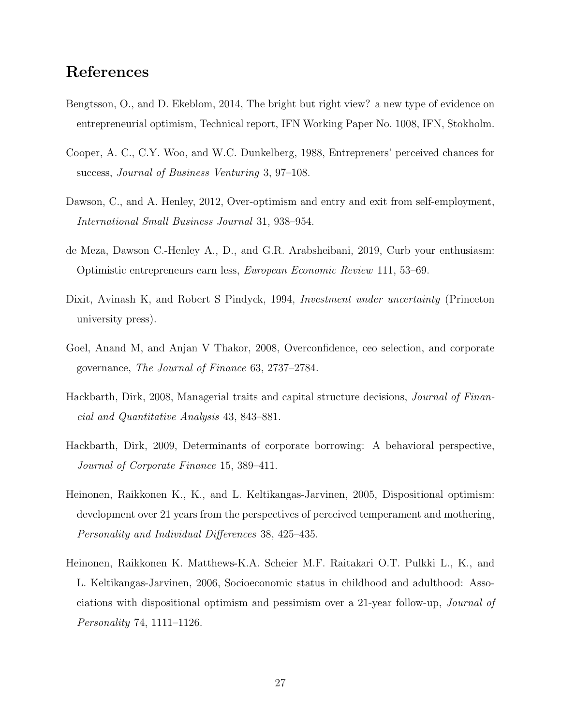### References

- Bengtsson, O., and D. Ekeblom, 2014, The bright but right view? a new type of evidence on entrepreneurial optimism, Technical report, IFN Working Paper No. 1008, IFN, Stokholm.
- Cooper, A. C., C.Y. Woo, and W.C. Dunkelberg, 1988, Entrepreners' perceived chances for success, Journal of Business Venturing 3, 97–108.
- Dawson, C., and A. Henley, 2012, Over-optimism and entry and exit from self-employment, International Small Business Journal 31, 938–954.
- de Meza, Dawson C.-Henley A., D., and G.R. Arabsheibani, 2019, Curb your enthusiasm: Optimistic entrepreneurs earn less, European Economic Review 111, 53–69.
- Dixit, Avinash K, and Robert S Pindyck, 1994, Investment under uncertainty (Princeton university press).
- Goel, Anand M, and Anjan V Thakor, 2008, Overconfidence, ceo selection, and corporate governance, The Journal of Finance 63, 2737–2784.
- Hackbarth, Dirk, 2008, Managerial traits and capital structure decisions, Journal of Financial and Quantitative Analysis 43, 843–881.
- Hackbarth, Dirk, 2009, Determinants of corporate borrowing: A behavioral perspective, Journal of Corporate Finance 15, 389–411.
- Heinonen, Raikkonen K., K., and L. Keltikangas-Jarvinen, 2005, Dispositional optimism: development over 21 years from the perspectives of perceived temperament and mothering, Personality and Individual Differences 38, 425–435.
- Heinonen, Raikkonen K. Matthews-K.A. Scheier M.F. Raitakari O.T. Pulkki L., K., and L. Keltikangas-Jarvinen, 2006, Socioeconomic status in childhood and adulthood: Associations with dispositional optimism and pessimism over a 21-year follow-up, Journal of Personality 74, 1111–1126.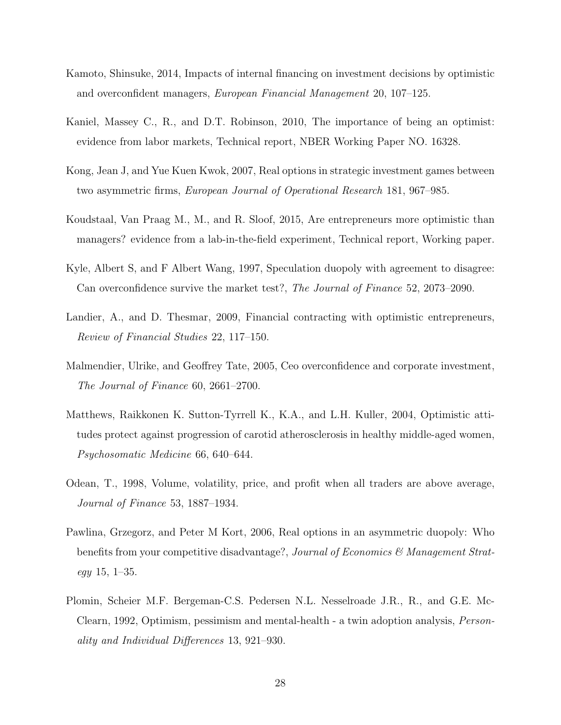- Kamoto, Shinsuke, 2014, Impacts of internal financing on investment decisions by optimistic and overconfident managers, European Financial Management 20, 107–125.
- Kaniel, Massey C., R., and D.T. Robinson, 2010, The importance of being an optimist: evidence from labor markets, Technical report, NBER Working Paper NO. 16328.
- Kong, Jean J, and Yue Kuen Kwok, 2007, Real options in strategic investment games between two asymmetric firms, European Journal of Operational Research 181, 967–985.
- Koudstaal, Van Praag M., M., and R. Sloof, 2015, Are entrepreneurs more optimistic than managers? evidence from a lab-in-the-field experiment, Technical report, Working paper.
- Kyle, Albert S, and F Albert Wang, 1997, Speculation duopoly with agreement to disagree: Can overconfidence survive the market test?, The Journal of Finance 52, 2073–2090.
- Landier, A., and D. Thesmar, 2009, Financial contracting with optimistic entrepreneurs, Review of Financial Studies 22, 117–150.
- Malmendier, Ulrike, and Geoffrey Tate, 2005, Ceo overconfidence and corporate investment, The Journal of Finance 60, 2661–2700.
- Matthews, Raikkonen K. Sutton-Tyrrell K., K.A., and L.H. Kuller, 2004, Optimistic attitudes protect against progression of carotid atherosclerosis in healthy middle-aged women, Psychosomatic Medicine 66, 640–644.
- Odean, T., 1998, Volume, volatility, price, and profit when all traders are above average, Journal of Finance 53, 1887–1934.
- Pawlina, Grzegorz, and Peter M Kort, 2006, Real options in an asymmetric duopoly: Who benefits from your competitive disadvantage?, Journal of Economics & Management Strat $egy$  15, 1–35.
- Plomin, Scheier M.F. Bergeman-C.S. Pedersen N.L. Nesselroade J.R., R., and G.E. Mc-Clearn, 1992, Optimism, pessimism and mental-health - a twin adoption analysis, Personality and Individual Differences 13, 921–930.